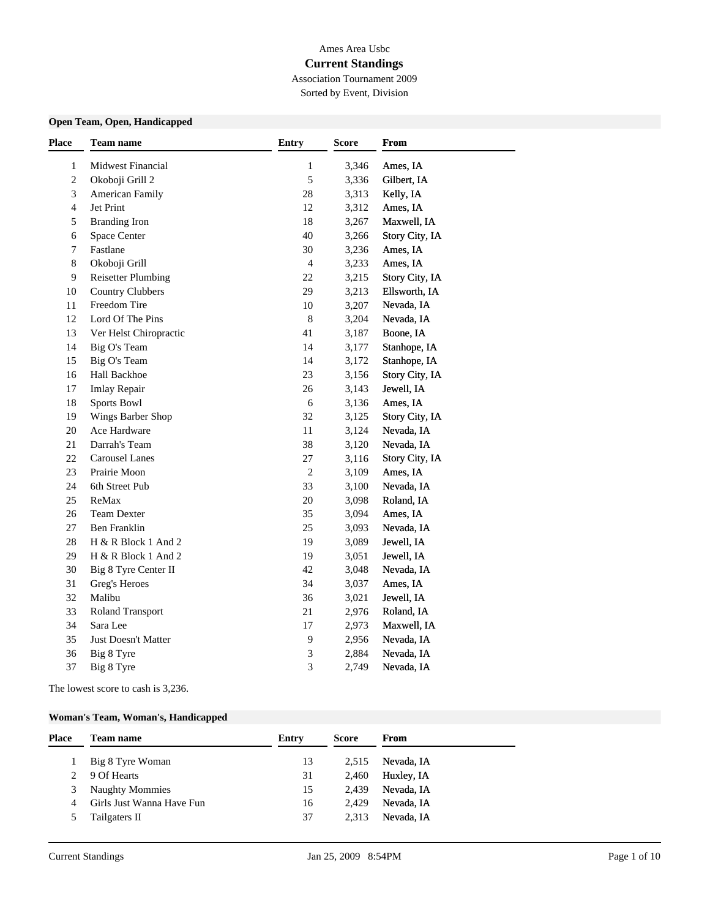# Ames Area Usbc

## **Current Standings**

Association Tournament 2009 Sorted by Event, Division

### **Open Team, Open, Handicapped**

| <b>Place</b>   | <b>Team name</b>          | Entry                       | <b>Score</b> | From           |  |
|----------------|---------------------------|-----------------------------|--------------|----------------|--|
| 1              | <b>Midwest Financial</b>  | 1                           | 3,346        | Ames, IA       |  |
| $\mathbf{2}$   | Okoboji Grill 2           | 5                           | 3,336        | Gilbert, IA    |  |
| $\mathfrak{Z}$ | <b>American Family</b>    | $28\,$                      | 3,313        | Kelly, IA      |  |
| $\overline{4}$ | Jet Print                 | 12                          | 3,312        | Ames, IA       |  |
| $\sqrt{5}$     | <b>Branding Iron</b>      | $18\,$                      | 3,267        | Maxwell, IA    |  |
| 6              | Space Center              | 40                          | 3,266        | Story City, IA |  |
| $\overline{7}$ | Fastlane                  | 30                          | 3,236        | Ames, IA       |  |
| $\,8\,$        | Okoboji Grill             | $\overline{4}$              | 3,233        | Ames, IA       |  |
| 9              | <b>Reisetter Plumbing</b> | 22                          | 3,215        | Story City, IA |  |
| 10             | <b>Country Clubbers</b>   | 29                          | 3,213        | Ellsworth, IA  |  |
| 11             | Freedom Tire              | 10                          | 3,207        | Nevada, IA     |  |
| 12             | Lord Of The Pins          | $\,8\,$                     | 3,204        | Nevada, IA     |  |
| 13             | Ver Helst Chiropractic    | 41                          | 3,187        | Boone, IA      |  |
| 14             | Big O's Team              | 14                          | 3,177        | Stanhope, IA   |  |
| 15             | Big O's Team              | 14                          | 3,172        | Stanhope, IA   |  |
| 16             | Hall Backhoe              | 23                          | 3,156        | Story City, IA |  |
| 17             | <b>Imlay Repair</b>       | 26                          | 3,143        | Jewell, IA     |  |
| $18\,$         | Sports Bowl               | $\sqrt{6}$                  | 3,136        | Ames, IA       |  |
| 19             | Wings Barber Shop         | 32                          | 3,125        | Story City, IA |  |
| 20             | Ace Hardware              | 11                          | 3,124        | Nevada, IA     |  |
| 21             | Darrah's Team             | 38                          | 3,120        | Nevada, IA     |  |
| 22             | <b>Carousel Lanes</b>     | $27\,$                      | 3,116        | Story City, IA |  |
| 23             | Prairie Moon              | $\overline{2}$              | 3,109        | Ames, IA       |  |
| 24             | 6th Street Pub            | 33                          | 3,100        | Nevada, IA     |  |
| 25             | ReMax                     | $20\,$                      | 3,098        | Roland, IA     |  |
| $26\,$         | <b>Team Dexter</b>        | 35                          | 3,094        | Ames, IA       |  |
| $27\,$         | <b>Ben Franklin</b>       | 25                          | 3,093        | Nevada, IA     |  |
| $28\,$         | H & R Block 1 And 2       | 19                          | 3,089        | Jewell, IA     |  |
| 29             | H & R Block 1 And 2       | 19                          | 3,051        | Jewell, IA     |  |
| 30             | Big 8 Tyre Center II      | 42                          | 3,048        | Nevada, IA     |  |
| 31             | Greg's Heroes             | 34                          | 3,037        | Ames, IA       |  |
| 32             | Malibu                    | 36                          | 3,021        | Jewell, IA     |  |
| 33             | <b>Roland Transport</b>   | $21\,$                      | 2,976        | Roland, IA     |  |
| 34             | Sara Lee                  | $17\,$                      | 2,973        | Maxwell, IA    |  |
| 35             | Just Doesn't Matter       | 9                           | 2,956        | Nevada, IA     |  |
| 36             | Big 8 Tyre                | $\ensuremath{\mathfrak{Z}}$ | 2,884        | Nevada, IA     |  |
| 37             | Big 8 Tyre                | 3                           | 2,749        | Nevada, IA     |  |

The lowest score to cash is 3,236.

#### **Woman's Team, Woman's, Handicapped**

| Place | <b>Team name</b>          | Entry | <b>Score</b> | From       |
|-------|---------------------------|-------|--------------|------------|
|       | Big 8 Tyre Woman          | 13    | 2.515        | Nevada, IA |
|       | 9 Of Hearts               | 31    | 2,460        | Huxley, IA |
| 3     | <b>Naughty Mommies</b>    | 15    | 2.439        | Nevada, IA |
| 4     | Girls Just Wanna Have Fun | 16    | 2.429        | Nevada, IA |
|       | Tailgaters II             | 37    | 2.313        | Nevada, IA |
|       |                           |       |              |            |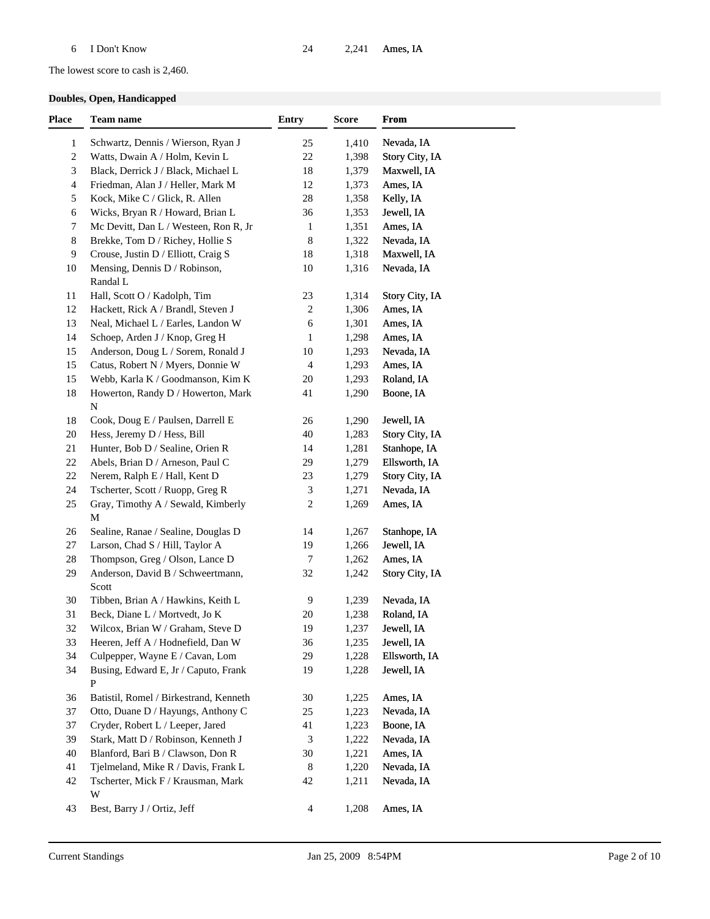### The lowest score to cash is 2,460.

### **Doubles, Open, Handicapped**

| <b>Place</b> | Team name                                  | <b>Entry</b>   | <b>Score</b> | From           |  |
|--------------|--------------------------------------------|----------------|--------------|----------------|--|
| $\mathbf{1}$ | Schwartz, Dennis / Wierson, Ryan J         | 25             | 1,410        | Nevada, IA     |  |
| 2            | Watts, Dwain A / Holm, Kevin L             | $22\,$         | 1,398        | Story City, IA |  |
| 3            | Black, Derrick J / Black, Michael L        | 18             | 1,379        | Maxwell, IA    |  |
| 4            | Friedman, Alan J / Heller, Mark M          | 12             | 1,373        | Ames, IA       |  |
| 5            | Kock, Mike C / Glick, R. Allen             | $28\,$         | 1,358        | Kelly, IA      |  |
| 6            | Wicks, Bryan R / Howard, Brian L           | 36             | 1,353        | Jewell, IA     |  |
| 7            | Mc Devitt, Dan L / Westeen, Ron R, Jr      | $\mathbf{1}$   | 1,351        | Ames, IA       |  |
| 8            | Brekke, Tom D / Richey, Hollie S           | 8              | 1,322        | Nevada, IA     |  |
| 9            | Crouse, Justin D / Elliott, Craig S        | 18             | 1,318        | Maxwell, IA    |  |
| 10           | Mensing, Dennis D / Robinson,<br>Randal L  | 10             | 1,316        | Nevada, IA     |  |
| 11           | Hall, Scott O / Kadolph, Tim               | 23             | 1,314        | Story City, IA |  |
| 12           | Hackett, Rick A / Brandl, Steven J         | $\sqrt{2}$     | 1,306        | Ames, IA       |  |
| 13           | Neal, Michael L / Earles, Landon W         | 6              | 1,301        | Ames, IA       |  |
| 14           | Schoep, Arden J / Knop, Greg H             | 1              | 1,298        | Ames, IA       |  |
| 15           | Anderson, Doug L / Sorem, Ronald J         | 10             | 1,293        | Nevada, IA     |  |
| 15           | Catus, Robert N / Myers, Donnie W          | $\overline{4}$ | 1,293        | Ames, IA       |  |
| 15           | Webb, Karla K / Goodmanson, Kim K          | 20             | 1,293        | Roland, IA     |  |
| 18           | Howerton, Randy D / Howerton, Mark         | 41             | 1,290        | Boone, IA      |  |
|              | $\mathbf N$                                |                |              |                |  |
| 18           | Cook, Doug E / Paulsen, Darrell E          | 26             | 1,290        | Jewell, IA     |  |
| 20           | Hess, Jeremy D / Hess, Bill                | 40             | 1,283        | Story City, IA |  |
| 21           | Hunter, Bob D / Sealine, Orien R           | 14             | 1,281        | Stanhope, IA   |  |
| 22           | Abels, Brian D / Arneson, Paul C           | 29             | 1,279        | Ellsworth, IA  |  |
| 22           | Nerem, Ralph E / Hall, Kent D              | 23             | 1,279        | Story City, IA |  |
| 24           | Tscherter, Scott / Ruopp, Greg R           | $\mathfrak{Z}$ | 1,271        | Nevada, IA     |  |
| 25           | Gray, Timothy A / Sewald, Kimberly<br>M    | 2              | 1,269        | Ames, IA       |  |
| 26           | Sealine, Ranae / Sealine, Douglas D        | 14             | 1,267        | Stanhope, IA   |  |
| 27           | Larson, Chad S / Hill, Taylor A            | 19             | 1,266        | Jewell, IA     |  |
| 28           | Thompson, Greg / Olson, Lance D            | $\overline{7}$ | 1,262        | Ames, IA       |  |
| 29           | Anderson, David B / Schweertmann,<br>Scott | 32             | 1,242        | Story City, IA |  |
| 30           | Tibben, Brian A / Hawkins, Keith L         | 9              | 1,239        | Nevada, IA     |  |
| 31           | Beck, Diane L / Mortvedt, Jo K             | 20             | 1,238        | Roland, IA     |  |
| 32           | Wilcox, Brian W / Graham, Steve D          | 19             | 1,237        | Jewell, IA     |  |
| 33           | Heeren, Jeff A / Hodnefield, Dan W         | 36             | 1,235        | Jewell, IA     |  |
| 34           | Culpepper, Wayne E / Cavan, Lom            | 29             | 1,228        | Ellsworth, IA  |  |
| 34           | Busing, Edward E, Jr / Caputo, Frank<br>P  | 19             | 1,228        | Jewell, IA     |  |
| 36           | Batistil, Romel / Birkestrand, Kenneth     | 30             | 1,225        | Ames, IA       |  |
| 37           | Otto, Duane D / Hayungs, Anthony C         | 25             | 1,223        | Nevada, IA     |  |
| 37           | Cryder, Robert L / Leeper, Jared           | 41             | 1,223        | Boone, IA      |  |
| 39           | Stark, Matt D / Robinson, Kenneth J        | 3              | 1,222        | Nevada, IA     |  |
| 40           | Blanford, Bari B / Clawson, Don R          | 30             | 1,221        | Ames, IA       |  |
| 41           | Tjelmeland, Mike R / Davis, Frank L        | 8              | 1,220        | Nevada, IA     |  |
| 42           | Tscherter, Mick F / Krausman, Mark<br>W    | 42             | 1,211        | Nevada, IA     |  |
| 43           | Best, Barry J / Ortiz, Jeff                | $\overline{4}$ | 1,208        | Ames, IA       |  |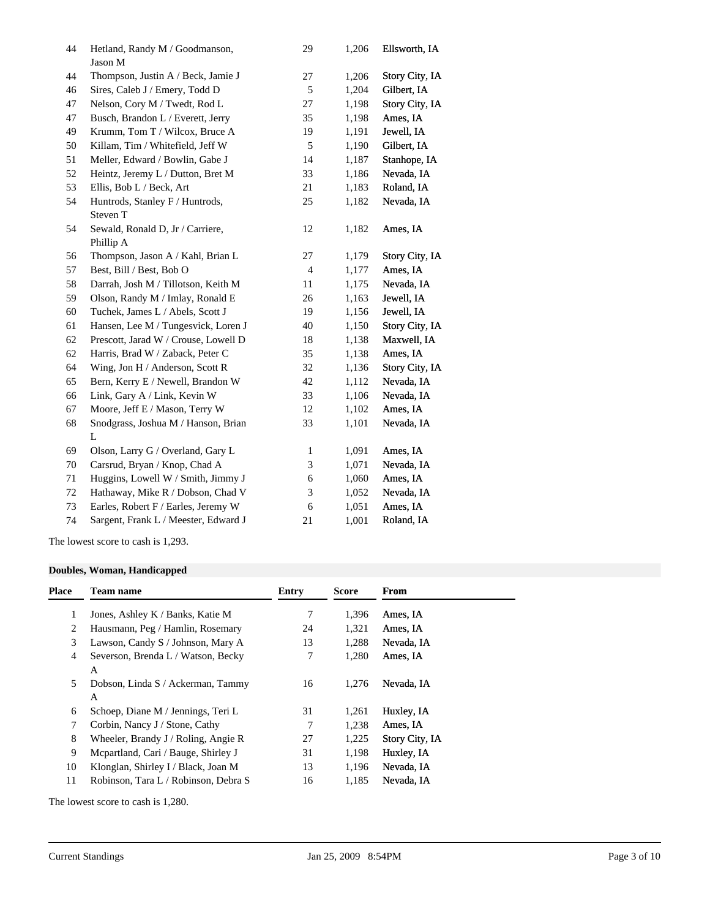| 44 | Hetland, Randy M / Goodmanson,<br>Jason M | 29             | 1,206 | Ellsworth, IA         |
|----|-------------------------------------------|----------------|-------|-----------------------|
| 44 | Thompson, Justin A / Beck, Jamie J        | 27             | 1,206 | <b>Story City, IA</b> |
| 46 | Sires, Caleb J / Emery, Todd D            | 5              | 1,204 | Gilbert, IA           |
| 47 | Nelson, Cory M / Twedt, Rod L             | 27             | 1,198 | Story City, IA        |
| 47 | Busch, Brandon L / Everett, Jerry         | 35             | 1,198 | Ames, IA              |
| 49 | Krumm, Tom T / Wilcox, Bruce A            | 19             | 1,191 | Jewell, IA            |
| 50 | Killam, Tim / Whitefield, Jeff W          | $\sqrt{5}$     | 1,190 | Gilbert, IA           |
| 51 | Meller, Edward / Bowlin, Gabe J           | 14             | 1,187 | Stanhope, IA          |
| 52 | Heintz, Jeremy L / Dutton, Bret M         | 33             | 1,186 | Nevada, IA            |
| 53 | Ellis, Bob L / Beck, Art                  | 21             | 1,183 | Roland, IA            |
| 54 | Huntrods, Stanley F / Huntrods,           | 25             | 1,182 | Nevada, IA            |
|    | Steven T                                  |                |       |                       |
| 54 | Sewald, Ronald D, Jr / Carriere,          | 12             | 1,182 | Ames, IA              |
|    | Phillip A                                 |                |       |                       |
| 56 | Thompson, Jason A / Kahl, Brian L         | 27             | 1,179 | Story City, IA        |
| 57 | Best, Bill / Best, Bob O                  | $\overline{4}$ | 1,177 | Ames, IA              |
| 58 | Darrah, Josh M / Tillotson, Keith M       | 11             | 1,175 | Nevada, IA            |
| 59 | Olson, Randy M / Imlay, Ronald E          | 26             | 1,163 | Jewell, IA            |
| 60 | Tuchek, James L / Abels, Scott J          | 19             | 1,156 | Jewell, IA            |
| 61 | Hansen, Lee M / Tungesvick, Loren J       | 40             | 1,150 | Story City, IA        |
| 62 | Prescott, Jarad W / Crouse, Lowell D      | 18             | 1,138 | Maxwell, IA           |
| 62 | Harris, Brad W / Zaback, Peter C          | 35             | 1,138 | Ames, IA              |
| 64 | Wing, Jon H / Anderson, Scott R           | 32             | 1,136 | Story City, IA        |
| 65 | Bern, Kerry E / Newell, Brandon W         | 42             | 1,112 | Nevada, IA            |
| 66 | Link, Gary A / Link, Kevin W              | 33             | 1,106 | Nevada, IA            |
| 67 | Moore, Jeff E / Mason, Terry W            | 12             | 1,102 | Ames, IA              |
| 68 | Snodgrass, Joshua M / Hanson, Brian       | 33             | 1,101 | Nevada, IA            |
|    | L                                         |                |       |                       |
| 69 | Olson, Larry G / Overland, Gary L         | 1              | 1,091 | Ames, IA              |
| 70 | Carsrud, Bryan / Knop, Chad A             | 3              | 1,071 | Nevada, IA            |
| 71 | Huggins, Lowell W / Smith, Jimmy J        | 6              | 1,060 | Ames, IA              |
| 72 | Hathaway, Mike R / Dobson, Chad V         | 3              | 1,052 | Nevada, IA            |
| 73 | Earles, Robert F / Earles, Jeremy W       | 6              | 1,051 | Ames, IA              |
| 74 | Sargent, Frank L / Meester, Edward J      | 21             | 1,001 | Roland, IA            |

The lowest score to cash is 1,293.

### **Doubles, Woman, Handicapped**

| <b>Place</b> | <b>Team name</b>                        | Entry | <b>Score</b> | From                  |
|--------------|-----------------------------------------|-------|--------------|-----------------------|
| 1            | Jones, Ashley K / Banks, Katie M        | 7     | 1,396        | Ames, IA              |
| 2            | Hausmann, Peg / Hamlin, Rosemary        | 24    | 1,321        | Ames, IA              |
| 3            | Lawson, Candy S / Johnson, Mary A       | 13    | 1,288        | Nevada, IA            |
| 4            | Severson, Brenda L / Watson, Becky<br>А | 7     | 1,280        | Ames, IA              |
| 5            | Dobson, Linda S / Ackerman, Tammy<br>A  | 16    | 1,276        | Nevada, IA            |
| 6            | Schoep, Diane M / Jennings, Teri L      | 31    | 1,261        | Huxley, IA            |
| 7            | Corbin, Nancy J / Stone, Cathy          | 7     | 1,238        | Ames, IA              |
| 8            | Wheeler, Brandy $J /$ Roling, Angie R   | 27    | 1,225        | <b>Story City, IA</b> |
| 9            | Mcpartland, Cari / Bauge, Shirley J     | 31    | 1,198        | Huxley, IA            |
| 10           | Klonglan, Shirley I / Black, Joan M     | 13    | 1,196        | Nevada, IA            |
| 11           | Robinson, Tara L / Robinson, Debra S    | 16    | 1,185        | Nevada, IA            |

The lowest score to cash is 1,280.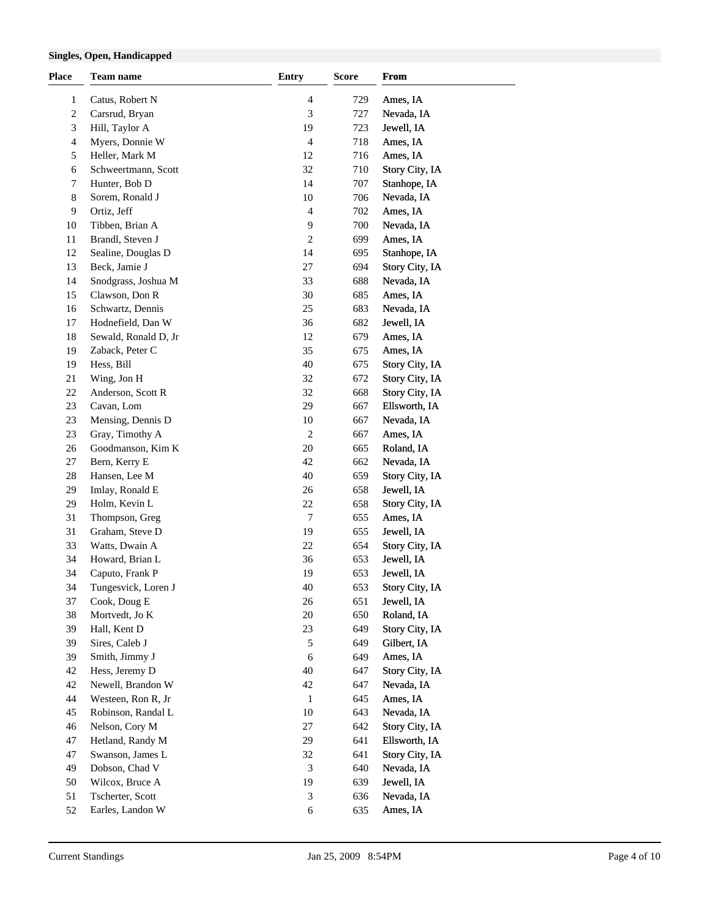### **Singles, Open, Handicapped**

| <b>Place</b>   | Team name                            | <b>Entry</b>   | <b>Score</b> | From                          |  |
|----------------|--------------------------------------|----------------|--------------|-------------------------------|--|
| $\mathbf{1}$   | Catus, Robert N                      | 4              | 729          | Ames, IA                      |  |
| 2              | Carsrud, Bryan                       | 3              | 727          | Nevada, IA                    |  |
| 3              | Hill, Taylor A                       | 19             | 723          | Jewell, IA                    |  |
| 4              | Myers, Donnie W                      | 4              | 718          | Ames, IA                      |  |
| 5              | Heller, Mark M                       | 12             | 716          | Ames, IA                      |  |
| 6              | Schweertmann, Scott                  | 32             | 710          | Story City, IA                |  |
| 7              | Hunter, Bob D                        | 14             | 707          | Stanhope, IA                  |  |
| 8              | Sorem, Ronald J                      | 10             | 706          | Nevada, IA                    |  |
| $\overline{9}$ | Ortiz, Jeff                          | 4              | 702          | Ames, IA                      |  |
| 10             | Tibben, Brian A                      | 9              | 700          | Nevada, IA                    |  |
| 11             | Brandl, Steven J                     | 2              | 699          | Ames, IA                      |  |
| 12             | Sealine, Douglas D                   | 14             | 695          | Stanhope, IA                  |  |
| 13             | Beck, Jamie J                        | 27             | 694          | Story City, IA                |  |
| 14             | Snodgrass, Joshua M                  | 33             | 688          | Nevada, IA                    |  |
| 15             | Clawson, Don R                       | 30             | 685          | Ames, IA                      |  |
| 16             | Schwartz, Dennis                     | 25             | 683          | Nevada, IA                    |  |
| 17             | Hodnefield, Dan W                    | 36             | 682          | Jewell, IA                    |  |
| 18             | Sewald, Ronald D, Jr                 | 12             | 679          | Ames, IA                      |  |
| 19             | Zaback, Peter C                      | 35             | 675          | Ames, IA                      |  |
| 19             | Hess, Bill                           | 40             | 675          | Story City, IA                |  |
| 21             | Wing, Jon H                          | 32             | 672          | Story City, IA                |  |
| $22\,$         | Anderson, Scott R                    | 32             | 668          | Story City, IA                |  |
| 23             | Cavan, Lom                           | 29             | 667          | Ellsworth, IA                 |  |
|                |                                      |                |              |                               |  |
| 23             | Mensing, Dennis D                    | 10             | 667          | Nevada, IA                    |  |
| 23             | Gray, Timothy A                      | $\overline{c}$ | 667          | Ames, IA                      |  |
| 26             | Goodmanson, Kim K                    | 20             | 665          | Roland, IA                    |  |
| 27             | Bern, Kerry E                        | 42<br>40       | 662          | Nevada, IA                    |  |
| 28             | Hansen, Lee M                        |                | 659          | Story City, IA                |  |
| 29<br>29       | Imlay, Ronald E<br>Holm, Kevin L     | 26<br>22       | 658<br>658   | Jewell, IA                    |  |
| 31             |                                      | 7              | 655          | Story City, IA                |  |
| 31             | Thompson, Greg<br>Graham, Steve D    | 19             | 655          | Ames, IA                      |  |
| 33             |                                      | $22\,$         | 654          | Jewell, IA                    |  |
|                | Watts, Dwain A                       |                |              | Story City, IA                |  |
| 34             | Howard, Brian L                      | 36<br>19       | 653          | Jewell, IA                    |  |
| 34             | Caputo, Frank P                      |                | 653          | Jewell, IA                    |  |
| 34             | Tungesvick, Loren J                  | 40             | 653          | Story City, IA                |  |
| 37<br>38       | Cook, Doug E<br>Mortvedt, Jo K       | 26             | 651          | Jewell, IA<br>Roland, IA      |  |
|                |                                      | 20             | 650          |                               |  |
| 39<br>39       | Hall, Kent D<br>Sires, Caleb J       | 23<br>5        | 649<br>649   | Story City, IA<br>Gilbert, IA |  |
| 39             | Smith, Jimmy J                       | 6              | 649          | Ames, IA                      |  |
| 42             | Hess, Jeremy D                       | 40             | 647          | Story City, IA                |  |
| $42\,$         | Newell, Brandon W                    | 42             | 647          | Nevada, IA                    |  |
|                |                                      |                |              | Ames, IA                      |  |
| 44             | Westeen, Ron R, Jr                   | 1<br>10        | 645          | Nevada, IA                    |  |
| 45             | Robinson, Randal L<br>Nelson, Cory M |                | 643          |                               |  |
| 46             |                                      | 27             | 642          | Story City, IA                |  |
| 47             | Hetland, Randy M                     | 29             | 641          | Ellsworth, IA                 |  |
| 47             | Swanson, James L                     | 32             | 641          | Story City, IA                |  |
| 49             | Dobson, Chad V                       | 3              | 640          | Nevada, IA                    |  |
| 50             | Wilcox, Bruce A                      | 19             | 639          | Jewell, IA                    |  |
| 51             | Tscherter, Scott                     | 3              | 636          | Nevada, IA                    |  |
| 52             | Earles, Landon W                     | 6              | 635          | Ames, IA                      |  |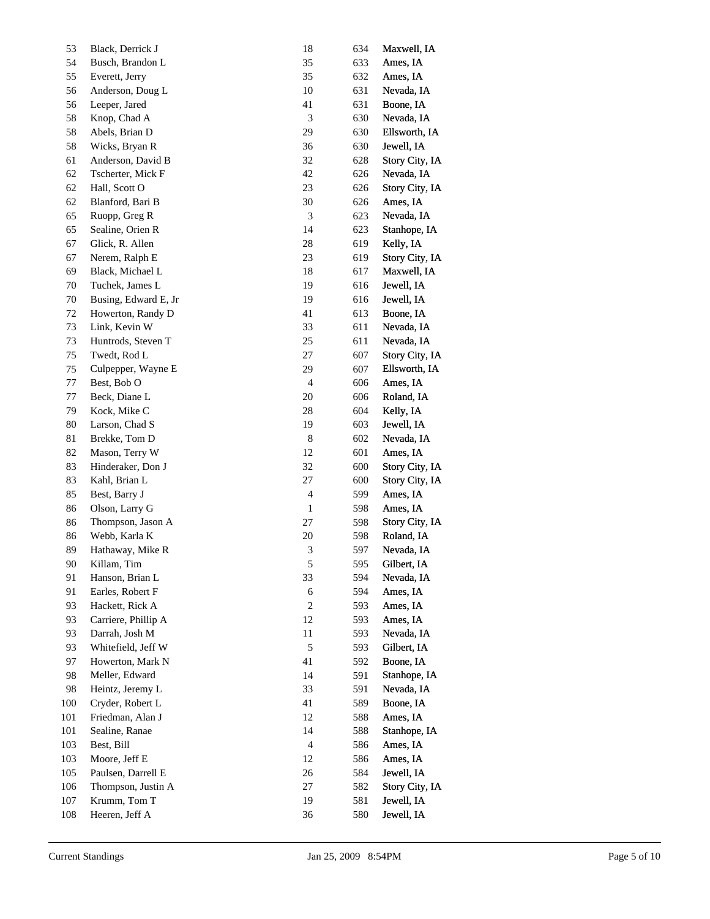| 54<br>Busch, Brandon L<br>35<br>633<br>Ames, IA<br>35<br>55<br>Everett, Jerry<br>632<br>Ames, IA<br>$10\,$<br>56<br>Anderson, Doug L<br>631<br>Nevada, IA<br>$41\,$<br>56<br>Leeper, Jared<br>631<br>Boone, IA<br>$\ensuremath{\mathfrak{Z}}$<br>58<br>Knop, Chad A<br>630<br>Nevada, IA<br>29<br>58<br>Abels, Brian D<br>630<br>Ellsworth, IA<br>58<br>Wicks, Bryan R<br>36<br>630<br>Jewell, IA<br>32<br>61<br>Anderson, David B<br>Story City, IA<br>628<br>$42\,$<br>62<br>Tscherter, Mick F<br>Nevada, IA<br>626<br>23<br>62<br>Hall, Scott O<br>Story City, IA<br>626<br>62<br>Blanford, Bari B<br>$30\,$<br>Ames, IA<br>626<br>65<br>Ruopp, Greg R<br>$\ensuremath{\mathfrak{Z}}$<br>Nevada, IA<br>623<br>65<br>Sealine, Orien R<br>14<br>Stanhope, IA<br>623<br>$28\,$<br>67<br>Glick, R. Allen<br>Kelly, IA<br>619<br>23<br>67<br>Nerem, Ralph E<br>Story City, IA<br>619<br>69<br>Black, Michael L<br>18<br>Maxwell, IA<br>617<br>70<br>Tuchek, James L<br>19<br>Jewell, IA<br>616<br>19<br>70<br>Busing, Edward E, Jr<br>Jewell, IA<br>616<br>$41\,$<br>72<br>Howerton, Randy D<br>613<br>Boone, IA<br>33<br>73<br>Link, Kevin W<br>611<br>Nevada, IA<br>$25\,$<br>73<br>Huntrods, Steven T<br>611<br>Nevada, IA<br>$27\,$<br>75<br>Twedt, Rod L<br>607<br>Story City, IA<br>29<br>75<br>Culpepper, Wayne E<br>607<br>Ellsworth, IA<br>77<br>Best, Bob O<br>$\overline{4}$<br>606<br>Ames, IA<br>77<br>Beck, Diane L<br>$20\,$<br>Roland, IA<br>606<br>79<br>Kock, Mike C<br>$28\,$<br>604<br>Kelly, IA<br>$80\,$<br>Larson, Chad S<br>19<br>603<br>Jewell, IA<br>$\,$ 8 $\,$<br>81<br>Brekke, Tom D<br>602<br>Nevada, IA<br>82<br>Mason, Terry W<br>12<br>601<br>Ames, IA<br>32<br>83<br>Hinderaker, Don J<br>Story City, IA<br>600<br>83<br>$27\,$<br>Kahl, Brian L<br>Story City, IA<br>600<br>85<br>Best, Barry J<br>$\overline{4}$<br>599<br>Ames, IA<br>86<br>Olson, Larry G<br>$\mathbf{1}$<br>598<br>Ames, IA<br>$27\,$<br>86<br>Thompson, Jason A<br>598<br>Story City, IA<br>Webb, Karla K<br>$20\,$<br>86<br>598<br>Roland, IA<br>89<br>3<br>597<br>Hathaway, Mike R<br>Nevada, IA<br>$90\,$<br>Killam, Tim<br>5<br>595<br>Gilbert, IA<br>33<br>91<br>Hanson, Brian L<br>594<br>Nevada, IA<br>91<br>Earles, Robert F<br>$\sqrt{6}$<br>594<br>Ames, IA<br>$\sqrt{2}$<br>93<br>Hackett, Rick A<br>593<br>Ames, IA<br>12<br>93<br>Carriere, Phillip A<br>593<br>Ames, IA<br>93<br>Darrah, Josh M<br>11<br>593<br>Nevada, IA<br>93<br>$\sqrt{5}$<br>Whitefield, Jeff W<br>593<br>Gilbert, IA<br>41<br>97<br>Howerton, Mark N<br>592<br>Boone, IA<br>98<br>Meller, Edward<br>14<br>591<br>Stanhope, IA<br>33<br>98<br>Heintz, Jeremy L<br>591<br>Nevada, IA<br>Cryder, Robert L<br>100<br>41<br>589<br>Boone, IA<br>Friedman, Alan J<br>12<br>101<br>588<br>Ames, IA<br>Sealine, Ranae<br>14<br>588<br>Stanhope, IA<br>101<br>103<br>Best, Bill<br>$\overline{4}$<br>Ames, IA<br>586<br>103<br>Moore, Jeff E<br>12<br>586<br>Ames, IA<br>105<br>Paulsen, Darrell E<br>26<br>584<br>Jewell, IA<br>Thompson, Justin A<br>27<br>582<br>Story City, IA<br>106<br>Krumm, Tom T<br>107<br>19<br>581<br>Jewell, IA<br>Heeren, Jeff A<br>108<br>36<br>Jewell, IA<br>580 | 53 | Black, Derrick J | 18 | 634 | Maxwell, IA |
|----------------------------------------------------------------------------------------------------------------------------------------------------------------------------------------------------------------------------------------------------------------------------------------------------------------------------------------------------------------------------------------------------------------------------------------------------------------------------------------------------------------------------------------------------------------------------------------------------------------------------------------------------------------------------------------------------------------------------------------------------------------------------------------------------------------------------------------------------------------------------------------------------------------------------------------------------------------------------------------------------------------------------------------------------------------------------------------------------------------------------------------------------------------------------------------------------------------------------------------------------------------------------------------------------------------------------------------------------------------------------------------------------------------------------------------------------------------------------------------------------------------------------------------------------------------------------------------------------------------------------------------------------------------------------------------------------------------------------------------------------------------------------------------------------------------------------------------------------------------------------------------------------------------------------------------------------------------------------------------------------------------------------------------------------------------------------------------------------------------------------------------------------------------------------------------------------------------------------------------------------------------------------------------------------------------------------------------------------------------------------------------------------------------------------------------------------------------------------------------------------------------------------------------------------------------------------------------------------------------------------------------------------------------------------------------------------------------------------------------------------------------------------------------------------------------------------------------------------------------------------------------------------------------------------------------------------------------------------------------------------------------------------------------------------------------------------------------------------------------------------------------------------------------------------------|----|------------------|----|-----|-------------|
|                                                                                                                                                                                                                                                                                                                                                                                                                                                                                                                                                                                                                                                                                                                                                                                                                                                                                                                                                                                                                                                                                                                                                                                                                                                                                                                                                                                                                                                                                                                                                                                                                                                                                                                                                                                                                                                                                                                                                                                                                                                                                                                                                                                                                                                                                                                                                                                                                                                                                                                                                                                                                                                                                                                                                                                                                                                                                                                                                                                                                                                                                                                                                                                  |    |                  |    |     |             |
|                                                                                                                                                                                                                                                                                                                                                                                                                                                                                                                                                                                                                                                                                                                                                                                                                                                                                                                                                                                                                                                                                                                                                                                                                                                                                                                                                                                                                                                                                                                                                                                                                                                                                                                                                                                                                                                                                                                                                                                                                                                                                                                                                                                                                                                                                                                                                                                                                                                                                                                                                                                                                                                                                                                                                                                                                                                                                                                                                                                                                                                                                                                                                                                  |    |                  |    |     |             |
|                                                                                                                                                                                                                                                                                                                                                                                                                                                                                                                                                                                                                                                                                                                                                                                                                                                                                                                                                                                                                                                                                                                                                                                                                                                                                                                                                                                                                                                                                                                                                                                                                                                                                                                                                                                                                                                                                                                                                                                                                                                                                                                                                                                                                                                                                                                                                                                                                                                                                                                                                                                                                                                                                                                                                                                                                                                                                                                                                                                                                                                                                                                                                                                  |    |                  |    |     |             |
|                                                                                                                                                                                                                                                                                                                                                                                                                                                                                                                                                                                                                                                                                                                                                                                                                                                                                                                                                                                                                                                                                                                                                                                                                                                                                                                                                                                                                                                                                                                                                                                                                                                                                                                                                                                                                                                                                                                                                                                                                                                                                                                                                                                                                                                                                                                                                                                                                                                                                                                                                                                                                                                                                                                                                                                                                                                                                                                                                                                                                                                                                                                                                                                  |    |                  |    |     |             |
|                                                                                                                                                                                                                                                                                                                                                                                                                                                                                                                                                                                                                                                                                                                                                                                                                                                                                                                                                                                                                                                                                                                                                                                                                                                                                                                                                                                                                                                                                                                                                                                                                                                                                                                                                                                                                                                                                                                                                                                                                                                                                                                                                                                                                                                                                                                                                                                                                                                                                                                                                                                                                                                                                                                                                                                                                                                                                                                                                                                                                                                                                                                                                                                  |    |                  |    |     |             |
|                                                                                                                                                                                                                                                                                                                                                                                                                                                                                                                                                                                                                                                                                                                                                                                                                                                                                                                                                                                                                                                                                                                                                                                                                                                                                                                                                                                                                                                                                                                                                                                                                                                                                                                                                                                                                                                                                                                                                                                                                                                                                                                                                                                                                                                                                                                                                                                                                                                                                                                                                                                                                                                                                                                                                                                                                                                                                                                                                                                                                                                                                                                                                                                  |    |                  |    |     |             |
|                                                                                                                                                                                                                                                                                                                                                                                                                                                                                                                                                                                                                                                                                                                                                                                                                                                                                                                                                                                                                                                                                                                                                                                                                                                                                                                                                                                                                                                                                                                                                                                                                                                                                                                                                                                                                                                                                                                                                                                                                                                                                                                                                                                                                                                                                                                                                                                                                                                                                                                                                                                                                                                                                                                                                                                                                                                                                                                                                                                                                                                                                                                                                                                  |    |                  |    |     |             |
|                                                                                                                                                                                                                                                                                                                                                                                                                                                                                                                                                                                                                                                                                                                                                                                                                                                                                                                                                                                                                                                                                                                                                                                                                                                                                                                                                                                                                                                                                                                                                                                                                                                                                                                                                                                                                                                                                                                                                                                                                                                                                                                                                                                                                                                                                                                                                                                                                                                                                                                                                                                                                                                                                                                                                                                                                                                                                                                                                                                                                                                                                                                                                                                  |    |                  |    |     |             |
|                                                                                                                                                                                                                                                                                                                                                                                                                                                                                                                                                                                                                                                                                                                                                                                                                                                                                                                                                                                                                                                                                                                                                                                                                                                                                                                                                                                                                                                                                                                                                                                                                                                                                                                                                                                                                                                                                                                                                                                                                                                                                                                                                                                                                                                                                                                                                                                                                                                                                                                                                                                                                                                                                                                                                                                                                                                                                                                                                                                                                                                                                                                                                                                  |    |                  |    |     |             |
|                                                                                                                                                                                                                                                                                                                                                                                                                                                                                                                                                                                                                                                                                                                                                                                                                                                                                                                                                                                                                                                                                                                                                                                                                                                                                                                                                                                                                                                                                                                                                                                                                                                                                                                                                                                                                                                                                                                                                                                                                                                                                                                                                                                                                                                                                                                                                                                                                                                                                                                                                                                                                                                                                                                                                                                                                                                                                                                                                                                                                                                                                                                                                                                  |    |                  |    |     |             |
|                                                                                                                                                                                                                                                                                                                                                                                                                                                                                                                                                                                                                                                                                                                                                                                                                                                                                                                                                                                                                                                                                                                                                                                                                                                                                                                                                                                                                                                                                                                                                                                                                                                                                                                                                                                                                                                                                                                                                                                                                                                                                                                                                                                                                                                                                                                                                                                                                                                                                                                                                                                                                                                                                                                                                                                                                                                                                                                                                                                                                                                                                                                                                                                  |    |                  |    |     |             |
|                                                                                                                                                                                                                                                                                                                                                                                                                                                                                                                                                                                                                                                                                                                                                                                                                                                                                                                                                                                                                                                                                                                                                                                                                                                                                                                                                                                                                                                                                                                                                                                                                                                                                                                                                                                                                                                                                                                                                                                                                                                                                                                                                                                                                                                                                                                                                                                                                                                                                                                                                                                                                                                                                                                                                                                                                                                                                                                                                                                                                                                                                                                                                                                  |    |                  |    |     |             |
|                                                                                                                                                                                                                                                                                                                                                                                                                                                                                                                                                                                                                                                                                                                                                                                                                                                                                                                                                                                                                                                                                                                                                                                                                                                                                                                                                                                                                                                                                                                                                                                                                                                                                                                                                                                                                                                                                                                                                                                                                                                                                                                                                                                                                                                                                                                                                                                                                                                                                                                                                                                                                                                                                                                                                                                                                                                                                                                                                                                                                                                                                                                                                                                  |    |                  |    |     |             |
|                                                                                                                                                                                                                                                                                                                                                                                                                                                                                                                                                                                                                                                                                                                                                                                                                                                                                                                                                                                                                                                                                                                                                                                                                                                                                                                                                                                                                                                                                                                                                                                                                                                                                                                                                                                                                                                                                                                                                                                                                                                                                                                                                                                                                                                                                                                                                                                                                                                                                                                                                                                                                                                                                                                                                                                                                                                                                                                                                                                                                                                                                                                                                                                  |    |                  |    |     |             |
|                                                                                                                                                                                                                                                                                                                                                                                                                                                                                                                                                                                                                                                                                                                                                                                                                                                                                                                                                                                                                                                                                                                                                                                                                                                                                                                                                                                                                                                                                                                                                                                                                                                                                                                                                                                                                                                                                                                                                                                                                                                                                                                                                                                                                                                                                                                                                                                                                                                                                                                                                                                                                                                                                                                                                                                                                                                                                                                                                                                                                                                                                                                                                                                  |    |                  |    |     |             |
|                                                                                                                                                                                                                                                                                                                                                                                                                                                                                                                                                                                                                                                                                                                                                                                                                                                                                                                                                                                                                                                                                                                                                                                                                                                                                                                                                                                                                                                                                                                                                                                                                                                                                                                                                                                                                                                                                                                                                                                                                                                                                                                                                                                                                                                                                                                                                                                                                                                                                                                                                                                                                                                                                                                                                                                                                                                                                                                                                                                                                                                                                                                                                                                  |    |                  |    |     |             |
|                                                                                                                                                                                                                                                                                                                                                                                                                                                                                                                                                                                                                                                                                                                                                                                                                                                                                                                                                                                                                                                                                                                                                                                                                                                                                                                                                                                                                                                                                                                                                                                                                                                                                                                                                                                                                                                                                                                                                                                                                                                                                                                                                                                                                                                                                                                                                                                                                                                                                                                                                                                                                                                                                                                                                                                                                                                                                                                                                                                                                                                                                                                                                                                  |    |                  |    |     |             |
|                                                                                                                                                                                                                                                                                                                                                                                                                                                                                                                                                                                                                                                                                                                                                                                                                                                                                                                                                                                                                                                                                                                                                                                                                                                                                                                                                                                                                                                                                                                                                                                                                                                                                                                                                                                                                                                                                                                                                                                                                                                                                                                                                                                                                                                                                                                                                                                                                                                                                                                                                                                                                                                                                                                                                                                                                                                                                                                                                                                                                                                                                                                                                                                  |    |                  |    |     |             |
|                                                                                                                                                                                                                                                                                                                                                                                                                                                                                                                                                                                                                                                                                                                                                                                                                                                                                                                                                                                                                                                                                                                                                                                                                                                                                                                                                                                                                                                                                                                                                                                                                                                                                                                                                                                                                                                                                                                                                                                                                                                                                                                                                                                                                                                                                                                                                                                                                                                                                                                                                                                                                                                                                                                                                                                                                                                                                                                                                                                                                                                                                                                                                                                  |    |                  |    |     |             |
|                                                                                                                                                                                                                                                                                                                                                                                                                                                                                                                                                                                                                                                                                                                                                                                                                                                                                                                                                                                                                                                                                                                                                                                                                                                                                                                                                                                                                                                                                                                                                                                                                                                                                                                                                                                                                                                                                                                                                                                                                                                                                                                                                                                                                                                                                                                                                                                                                                                                                                                                                                                                                                                                                                                                                                                                                                                                                                                                                                                                                                                                                                                                                                                  |    |                  |    |     |             |
|                                                                                                                                                                                                                                                                                                                                                                                                                                                                                                                                                                                                                                                                                                                                                                                                                                                                                                                                                                                                                                                                                                                                                                                                                                                                                                                                                                                                                                                                                                                                                                                                                                                                                                                                                                                                                                                                                                                                                                                                                                                                                                                                                                                                                                                                                                                                                                                                                                                                                                                                                                                                                                                                                                                                                                                                                                                                                                                                                                                                                                                                                                                                                                                  |    |                  |    |     |             |
|                                                                                                                                                                                                                                                                                                                                                                                                                                                                                                                                                                                                                                                                                                                                                                                                                                                                                                                                                                                                                                                                                                                                                                                                                                                                                                                                                                                                                                                                                                                                                                                                                                                                                                                                                                                                                                                                                                                                                                                                                                                                                                                                                                                                                                                                                                                                                                                                                                                                                                                                                                                                                                                                                                                                                                                                                                                                                                                                                                                                                                                                                                                                                                                  |    |                  |    |     |             |
|                                                                                                                                                                                                                                                                                                                                                                                                                                                                                                                                                                                                                                                                                                                                                                                                                                                                                                                                                                                                                                                                                                                                                                                                                                                                                                                                                                                                                                                                                                                                                                                                                                                                                                                                                                                                                                                                                                                                                                                                                                                                                                                                                                                                                                                                                                                                                                                                                                                                                                                                                                                                                                                                                                                                                                                                                                                                                                                                                                                                                                                                                                                                                                                  |    |                  |    |     |             |
|                                                                                                                                                                                                                                                                                                                                                                                                                                                                                                                                                                                                                                                                                                                                                                                                                                                                                                                                                                                                                                                                                                                                                                                                                                                                                                                                                                                                                                                                                                                                                                                                                                                                                                                                                                                                                                                                                                                                                                                                                                                                                                                                                                                                                                                                                                                                                                                                                                                                                                                                                                                                                                                                                                                                                                                                                                                                                                                                                                                                                                                                                                                                                                                  |    |                  |    |     |             |
|                                                                                                                                                                                                                                                                                                                                                                                                                                                                                                                                                                                                                                                                                                                                                                                                                                                                                                                                                                                                                                                                                                                                                                                                                                                                                                                                                                                                                                                                                                                                                                                                                                                                                                                                                                                                                                                                                                                                                                                                                                                                                                                                                                                                                                                                                                                                                                                                                                                                                                                                                                                                                                                                                                                                                                                                                                                                                                                                                                                                                                                                                                                                                                                  |    |                  |    |     |             |
|                                                                                                                                                                                                                                                                                                                                                                                                                                                                                                                                                                                                                                                                                                                                                                                                                                                                                                                                                                                                                                                                                                                                                                                                                                                                                                                                                                                                                                                                                                                                                                                                                                                                                                                                                                                                                                                                                                                                                                                                                                                                                                                                                                                                                                                                                                                                                                                                                                                                                                                                                                                                                                                                                                                                                                                                                                                                                                                                                                                                                                                                                                                                                                                  |    |                  |    |     |             |
|                                                                                                                                                                                                                                                                                                                                                                                                                                                                                                                                                                                                                                                                                                                                                                                                                                                                                                                                                                                                                                                                                                                                                                                                                                                                                                                                                                                                                                                                                                                                                                                                                                                                                                                                                                                                                                                                                                                                                                                                                                                                                                                                                                                                                                                                                                                                                                                                                                                                                                                                                                                                                                                                                                                                                                                                                                                                                                                                                                                                                                                                                                                                                                                  |    |                  |    |     |             |
|                                                                                                                                                                                                                                                                                                                                                                                                                                                                                                                                                                                                                                                                                                                                                                                                                                                                                                                                                                                                                                                                                                                                                                                                                                                                                                                                                                                                                                                                                                                                                                                                                                                                                                                                                                                                                                                                                                                                                                                                                                                                                                                                                                                                                                                                                                                                                                                                                                                                                                                                                                                                                                                                                                                                                                                                                                                                                                                                                                                                                                                                                                                                                                                  |    |                  |    |     |             |
|                                                                                                                                                                                                                                                                                                                                                                                                                                                                                                                                                                                                                                                                                                                                                                                                                                                                                                                                                                                                                                                                                                                                                                                                                                                                                                                                                                                                                                                                                                                                                                                                                                                                                                                                                                                                                                                                                                                                                                                                                                                                                                                                                                                                                                                                                                                                                                                                                                                                                                                                                                                                                                                                                                                                                                                                                                                                                                                                                                                                                                                                                                                                                                                  |    |                  |    |     |             |
|                                                                                                                                                                                                                                                                                                                                                                                                                                                                                                                                                                                                                                                                                                                                                                                                                                                                                                                                                                                                                                                                                                                                                                                                                                                                                                                                                                                                                                                                                                                                                                                                                                                                                                                                                                                                                                                                                                                                                                                                                                                                                                                                                                                                                                                                                                                                                                                                                                                                                                                                                                                                                                                                                                                                                                                                                                                                                                                                                                                                                                                                                                                                                                                  |    |                  |    |     |             |
|                                                                                                                                                                                                                                                                                                                                                                                                                                                                                                                                                                                                                                                                                                                                                                                                                                                                                                                                                                                                                                                                                                                                                                                                                                                                                                                                                                                                                                                                                                                                                                                                                                                                                                                                                                                                                                                                                                                                                                                                                                                                                                                                                                                                                                                                                                                                                                                                                                                                                                                                                                                                                                                                                                                                                                                                                                                                                                                                                                                                                                                                                                                                                                                  |    |                  |    |     |             |
|                                                                                                                                                                                                                                                                                                                                                                                                                                                                                                                                                                                                                                                                                                                                                                                                                                                                                                                                                                                                                                                                                                                                                                                                                                                                                                                                                                                                                                                                                                                                                                                                                                                                                                                                                                                                                                                                                                                                                                                                                                                                                                                                                                                                                                                                                                                                                                                                                                                                                                                                                                                                                                                                                                                                                                                                                                                                                                                                                                                                                                                                                                                                                                                  |    |                  |    |     |             |
|                                                                                                                                                                                                                                                                                                                                                                                                                                                                                                                                                                                                                                                                                                                                                                                                                                                                                                                                                                                                                                                                                                                                                                                                                                                                                                                                                                                                                                                                                                                                                                                                                                                                                                                                                                                                                                                                                                                                                                                                                                                                                                                                                                                                                                                                                                                                                                                                                                                                                                                                                                                                                                                                                                                                                                                                                                                                                                                                                                                                                                                                                                                                                                                  |    |                  |    |     |             |
|                                                                                                                                                                                                                                                                                                                                                                                                                                                                                                                                                                                                                                                                                                                                                                                                                                                                                                                                                                                                                                                                                                                                                                                                                                                                                                                                                                                                                                                                                                                                                                                                                                                                                                                                                                                                                                                                                                                                                                                                                                                                                                                                                                                                                                                                                                                                                                                                                                                                                                                                                                                                                                                                                                                                                                                                                                                                                                                                                                                                                                                                                                                                                                                  |    |                  |    |     |             |
|                                                                                                                                                                                                                                                                                                                                                                                                                                                                                                                                                                                                                                                                                                                                                                                                                                                                                                                                                                                                                                                                                                                                                                                                                                                                                                                                                                                                                                                                                                                                                                                                                                                                                                                                                                                                                                                                                                                                                                                                                                                                                                                                                                                                                                                                                                                                                                                                                                                                                                                                                                                                                                                                                                                                                                                                                                                                                                                                                                                                                                                                                                                                                                                  |    |                  |    |     |             |
|                                                                                                                                                                                                                                                                                                                                                                                                                                                                                                                                                                                                                                                                                                                                                                                                                                                                                                                                                                                                                                                                                                                                                                                                                                                                                                                                                                                                                                                                                                                                                                                                                                                                                                                                                                                                                                                                                                                                                                                                                                                                                                                                                                                                                                                                                                                                                                                                                                                                                                                                                                                                                                                                                                                                                                                                                                                                                                                                                                                                                                                                                                                                                                                  |    |                  |    |     |             |
|                                                                                                                                                                                                                                                                                                                                                                                                                                                                                                                                                                                                                                                                                                                                                                                                                                                                                                                                                                                                                                                                                                                                                                                                                                                                                                                                                                                                                                                                                                                                                                                                                                                                                                                                                                                                                                                                                                                                                                                                                                                                                                                                                                                                                                                                                                                                                                                                                                                                                                                                                                                                                                                                                                                                                                                                                                                                                                                                                                                                                                                                                                                                                                                  |    |                  |    |     |             |
|                                                                                                                                                                                                                                                                                                                                                                                                                                                                                                                                                                                                                                                                                                                                                                                                                                                                                                                                                                                                                                                                                                                                                                                                                                                                                                                                                                                                                                                                                                                                                                                                                                                                                                                                                                                                                                                                                                                                                                                                                                                                                                                                                                                                                                                                                                                                                                                                                                                                                                                                                                                                                                                                                                                                                                                                                                                                                                                                                                                                                                                                                                                                                                                  |    |                  |    |     |             |
|                                                                                                                                                                                                                                                                                                                                                                                                                                                                                                                                                                                                                                                                                                                                                                                                                                                                                                                                                                                                                                                                                                                                                                                                                                                                                                                                                                                                                                                                                                                                                                                                                                                                                                                                                                                                                                                                                                                                                                                                                                                                                                                                                                                                                                                                                                                                                                                                                                                                                                                                                                                                                                                                                                                                                                                                                                                                                                                                                                                                                                                                                                                                                                                  |    |                  |    |     |             |
|                                                                                                                                                                                                                                                                                                                                                                                                                                                                                                                                                                                                                                                                                                                                                                                                                                                                                                                                                                                                                                                                                                                                                                                                                                                                                                                                                                                                                                                                                                                                                                                                                                                                                                                                                                                                                                                                                                                                                                                                                                                                                                                                                                                                                                                                                                                                                                                                                                                                                                                                                                                                                                                                                                                                                                                                                                                                                                                                                                                                                                                                                                                                                                                  |    |                  |    |     |             |
|                                                                                                                                                                                                                                                                                                                                                                                                                                                                                                                                                                                                                                                                                                                                                                                                                                                                                                                                                                                                                                                                                                                                                                                                                                                                                                                                                                                                                                                                                                                                                                                                                                                                                                                                                                                                                                                                                                                                                                                                                                                                                                                                                                                                                                                                                                                                                                                                                                                                                                                                                                                                                                                                                                                                                                                                                                                                                                                                                                                                                                                                                                                                                                                  |    |                  |    |     |             |
|                                                                                                                                                                                                                                                                                                                                                                                                                                                                                                                                                                                                                                                                                                                                                                                                                                                                                                                                                                                                                                                                                                                                                                                                                                                                                                                                                                                                                                                                                                                                                                                                                                                                                                                                                                                                                                                                                                                                                                                                                                                                                                                                                                                                                                                                                                                                                                                                                                                                                                                                                                                                                                                                                                                                                                                                                                                                                                                                                                                                                                                                                                                                                                                  |    |                  |    |     |             |
|                                                                                                                                                                                                                                                                                                                                                                                                                                                                                                                                                                                                                                                                                                                                                                                                                                                                                                                                                                                                                                                                                                                                                                                                                                                                                                                                                                                                                                                                                                                                                                                                                                                                                                                                                                                                                                                                                                                                                                                                                                                                                                                                                                                                                                                                                                                                                                                                                                                                                                                                                                                                                                                                                                                                                                                                                                                                                                                                                                                                                                                                                                                                                                                  |    |                  |    |     |             |
|                                                                                                                                                                                                                                                                                                                                                                                                                                                                                                                                                                                                                                                                                                                                                                                                                                                                                                                                                                                                                                                                                                                                                                                                                                                                                                                                                                                                                                                                                                                                                                                                                                                                                                                                                                                                                                                                                                                                                                                                                                                                                                                                                                                                                                                                                                                                                                                                                                                                                                                                                                                                                                                                                                                                                                                                                                                                                                                                                                                                                                                                                                                                                                                  |    |                  |    |     |             |
|                                                                                                                                                                                                                                                                                                                                                                                                                                                                                                                                                                                                                                                                                                                                                                                                                                                                                                                                                                                                                                                                                                                                                                                                                                                                                                                                                                                                                                                                                                                                                                                                                                                                                                                                                                                                                                                                                                                                                                                                                                                                                                                                                                                                                                                                                                                                                                                                                                                                                                                                                                                                                                                                                                                                                                                                                                                                                                                                                                                                                                                                                                                                                                                  |    |                  |    |     |             |
|                                                                                                                                                                                                                                                                                                                                                                                                                                                                                                                                                                                                                                                                                                                                                                                                                                                                                                                                                                                                                                                                                                                                                                                                                                                                                                                                                                                                                                                                                                                                                                                                                                                                                                                                                                                                                                                                                                                                                                                                                                                                                                                                                                                                                                                                                                                                                                                                                                                                                                                                                                                                                                                                                                                                                                                                                                                                                                                                                                                                                                                                                                                                                                                  |    |                  |    |     |             |
|                                                                                                                                                                                                                                                                                                                                                                                                                                                                                                                                                                                                                                                                                                                                                                                                                                                                                                                                                                                                                                                                                                                                                                                                                                                                                                                                                                                                                                                                                                                                                                                                                                                                                                                                                                                                                                                                                                                                                                                                                                                                                                                                                                                                                                                                                                                                                                                                                                                                                                                                                                                                                                                                                                                                                                                                                                                                                                                                                                                                                                                                                                                                                                                  |    |                  |    |     |             |
|                                                                                                                                                                                                                                                                                                                                                                                                                                                                                                                                                                                                                                                                                                                                                                                                                                                                                                                                                                                                                                                                                                                                                                                                                                                                                                                                                                                                                                                                                                                                                                                                                                                                                                                                                                                                                                                                                                                                                                                                                                                                                                                                                                                                                                                                                                                                                                                                                                                                                                                                                                                                                                                                                                                                                                                                                                                                                                                                                                                                                                                                                                                                                                                  |    |                  |    |     |             |
|                                                                                                                                                                                                                                                                                                                                                                                                                                                                                                                                                                                                                                                                                                                                                                                                                                                                                                                                                                                                                                                                                                                                                                                                                                                                                                                                                                                                                                                                                                                                                                                                                                                                                                                                                                                                                                                                                                                                                                                                                                                                                                                                                                                                                                                                                                                                                                                                                                                                                                                                                                                                                                                                                                                                                                                                                                                                                                                                                                                                                                                                                                                                                                                  |    |                  |    |     |             |
|                                                                                                                                                                                                                                                                                                                                                                                                                                                                                                                                                                                                                                                                                                                                                                                                                                                                                                                                                                                                                                                                                                                                                                                                                                                                                                                                                                                                                                                                                                                                                                                                                                                                                                                                                                                                                                                                                                                                                                                                                                                                                                                                                                                                                                                                                                                                                                                                                                                                                                                                                                                                                                                                                                                                                                                                                                                                                                                                                                                                                                                                                                                                                                                  |    |                  |    |     |             |
|                                                                                                                                                                                                                                                                                                                                                                                                                                                                                                                                                                                                                                                                                                                                                                                                                                                                                                                                                                                                                                                                                                                                                                                                                                                                                                                                                                                                                                                                                                                                                                                                                                                                                                                                                                                                                                                                                                                                                                                                                                                                                                                                                                                                                                                                                                                                                                                                                                                                                                                                                                                                                                                                                                                                                                                                                                                                                                                                                                                                                                                                                                                                                                                  |    |                  |    |     |             |
|                                                                                                                                                                                                                                                                                                                                                                                                                                                                                                                                                                                                                                                                                                                                                                                                                                                                                                                                                                                                                                                                                                                                                                                                                                                                                                                                                                                                                                                                                                                                                                                                                                                                                                                                                                                                                                                                                                                                                                                                                                                                                                                                                                                                                                                                                                                                                                                                                                                                                                                                                                                                                                                                                                                                                                                                                                                                                                                                                                                                                                                                                                                                                                                  |    |                  |    |     |             |
|                                                                                                                                                                                                                                                                                                                                                                                                                                                                                                                                                                                                                                                                                                                                                                                                                                                                                                                                                                                                                                                                                                                                                                                                                                                                                                                                                                                                                                                                                                                                                                                                                                                                                                                                                                                                                                                                                                                                                                                                                                                                                                                                                                                                                                                                                                                                                                                                                                                                                                                                                                                                                                                                                                                                                                                                                                                                                                                                                                                                                                                                                                                                                                                  |    |                  |    |     |             |
|                                                                                                                                                                                                                                                                                                                                                                                                                                                                                                                                                                                                                                                                                                                                                                                                                                                                                                                                                                                                                                                                                                                                                                                                                                                                                                                                                                                                                                                                                                                                                                                                                                                                                                                                                                                                                                                                                                                                                                                                                                                                                                                                                                                                                                                                                                                                                                                                                                                                                                                                                                                                                                                                                                                                                                                                                                                                                                                                                                                                                                                                                                                                                                                  |    |                  |    |     |             |
|                                                                                                                                                                                                                                                                                                                                                                                                                                                                                                                                                                                                                                                                                                                                                                                                                                                                                                                                                                                                                                                                                                                                                                                                                                                                                                                                                                                                                                                                                                                                                                                                                                                                                                                                                                                                                                                                                                                                                                                                                                                                                                                                                                                                                                                                                                                                                                                                                                                                                                                                                                                                                                                                                                                                                                                                                                                                                                                                                                                                                                                                                                                                                                                  |    |                  |    |     |             |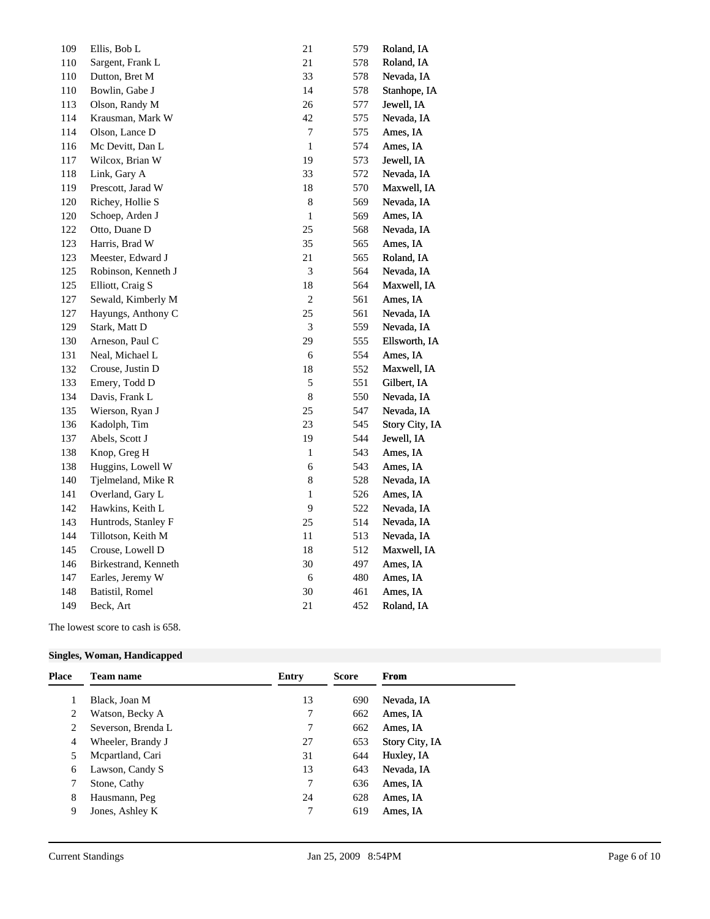| 109 | Ellis, Bob L         | 21             | 579 | Roland, IA     |
|-----|----------------------|----------------|-----|----------------|
| 110 | Sargent, Frank L     | 21             | 578 | Roland, IA     |
| 110 | Dutton, Bret M       | 33             | 578 | Nevada, IA     |
| 110 | Bowlin, Gabe J       | 14             | 578 | Stanhope, IA   |
| 113 | Olson, Randy M       | 26             | 577 | Jewell, IA     |
| 114 | Krausman, Mark W     | 42             | 575 | Nevada, IA     |
| 114 | Olson, Lance D       | $\tau$         | 575 | Ames, IA       |
| 116 | Mc Devitt, Dan L     | $\mathbf{1}$   | 574 | Ames, IA       |
| 117 | Wilcox, Brian W      | 19             | 573 | Jewell, IA     |
| 118 | Link, Gary A         | 33             | 572 | Nevada, IA     |
| 119 | Prescott, Jarad W    | 18             | 570 | Maxwell, IA    |
| 120 | Richey, Hollie S     | $\,$ 8 $\,$    | 569 | Nevada, IA     |
| 120 | Schoep, Arden J      | $\mathbf{1}$   | 569 | Ames, IA       |
| 122 | Otto, Duane D        | 25             | 568 | Nevada, IA     |
| 123 | Harris, Brad W       | 35             | 565 | Ames, IA       |
| 123 | Meester, Edward J    | 21             | 565 | Roland, IA     |
| 125 | Robinson, Kenneth J  | 3              | 564 | Nevada, IA     |
| 125 | Elliott, Craig S     | 18             | 564 | Maxwell, IA    |
| 127 | Sewald, Kimberly M   | $\overline{c}$ | 561 | Ames, IA       |
| 127 | Hayungs, Anthony C   | 25             | 561 | Nevada, IA     |
| 129 | Stark, Matt D        | $\mathfrak{Z}$ | 559 | Nevada, IA     |
| 130 | Arneson, Paul C      | 29             | 555 | Ellsworth, IA  |
| 131 | Neal, Michael L      | 6              | 554 | Ames, IA       |
| 132 | Crouse, Justin D     | 18             | 552 | Maxwell, IA    |
| 133 | Emery, Todd D        | $\sqrt{5}$     | 551 | Gilbert, IA    |
| 134 | Davis, Frank L       | $\,$ 8 $\,$    | 550 | Nevada, IA     |
| 135 | Wierson, Ryan J      | 25             | 547 | Nevada, IA     |
| 136 | Kadolph, Tim         | 23             | 545 | Story City, IA |
| 137 | Abels, Scott J       | 19             | 544 | Jewell, IA     |
| 138 | Knop, Greg H         | $\mathbf{1}$   | 543 | Ames, IA       |
| 138 | Huggins, Lowell W    | 6              | 543 | Ames, IA       |
| 140 | Tjelmeland, Mike R   | $\,$ 8 $\,$    | 528 | Nevada, IA     |
| 141 | Overland, Gary L     | $\mathbf{1}$   | 526 | Ames, IA       |
| 142 | Hawkins, Keith L     | $\overline{9}$ | 522 | Nevada, IA     |
| 143 | Huntrods, Stanley F  | 25             | 514 | Nevada, IA     |
| 144 | Tillotson, Keith M   | $11\,$         | 513 | Nevada, IA     |
| 145 | Crouse, Lowell D     | 18             | 512 | Maxwell, IA    |
| 146 | Birkestrand, Kenneth | 30             | 497 | Ames, IA       |
| 147 | Earles, Jeremy W     | 6              | 480 | Ames, IA       |
| 148 | Batistil, Romel      | 30             | 461 | Ames, IA       |
| 149 | Beck, Art            | 21             | 452 | Roland, IA     |
|     |                      |                |     |                |

The lowest score to cash is 658.

### **Singles, Woman, Handicapped**

| <b>Place</b> | <b>Team name</b>   | Entry | <b>Score</b> | From                  |
|--------------|--------------------|-------|--------------|-----------------------|
|              | Black, Joan M      | 13    | 690          | Nevada, IA            |
| 2            | Watson, Becky A    | 7     | 662          | Ames, IA              |
|              | Severson, Brenda L | 7     | 662          | Ames, IA              |
| 4            | Wheeler, Brandy J  | 27    | 653          | <b>Story City, IA</b> |
|              | Mepartland, Cari   | 31    | 644          | Huxley, IA            |
| 6            | Lawson, Candy S    | 13    | 643          | Nevada, IA            |
|              | Stone, Cathy       | 7     | 636          | Ames, IA              |
| 8            | Hausmann, Peg      | 24    | 628          | Ames, IA              |
| 9            | Jones, Ashley K    | 7     | 619          | Ames, IA              |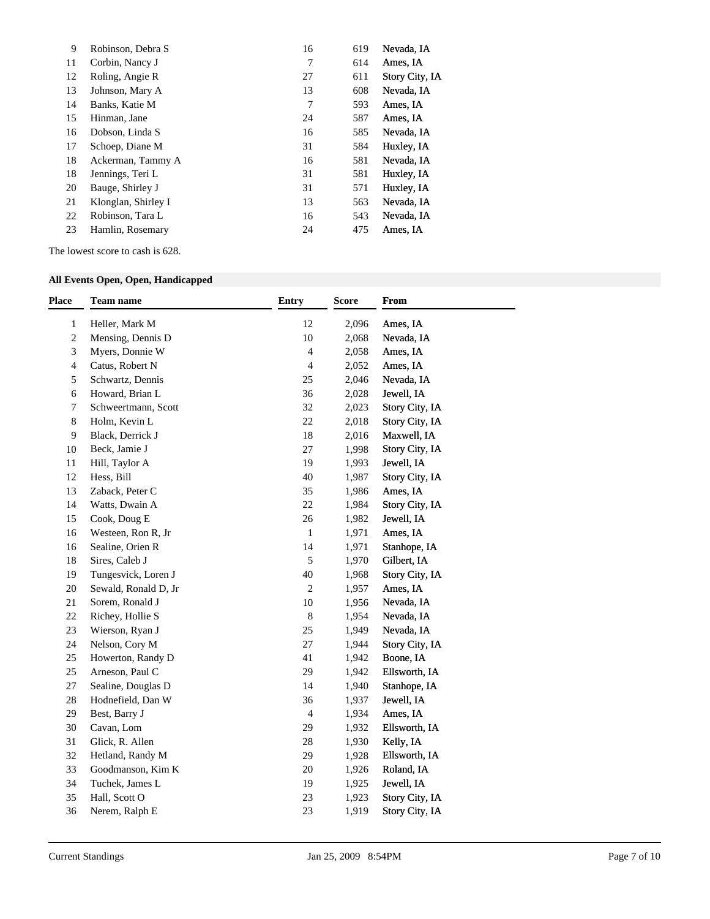| 9  | Robinson, Debra S   | 16 | 619 | Nevada, IA     |
|----|---------------------|----|-----|----------------|
| 11 | Corbin, Nancy J     | 7  | 614 | Ames, IA       |
| 12 | Roling, Angie R     | 27 | 611 | Story City, IA |
| 13 | Johnson, Mary A     | 13 | 608 | Nevada, IA     |
| 14 | Banks, Katie M      |    | 593 | Ames, IA       |
| 15 | Hinman, Jane        | 24 | 587 | Ames, IA       |
| 16 | Dobson, Linda S     | 16 | 585 | Nevada, IA     |
| 17 | Schoep, Diane M     | 31 | 584 | Huxley, IA     |
| 18 | Ackerman, Tammy A   | 16 | 581 | Nevada, IA     |
| 18 | Jennings, Teri L    | 31 | 581 | Huxley, IA     |
| 20 | Bauge, Shirley J    | 31 | 571 | Huxley, IA     |
| 21 | Klonglan, Shirley I | 13 | 563 | Nevada, IA     |
| 22 | Robinson, Tara L    | 16 | 543 | Nevada, IA     |
| 23 | Hamlin, Rosemary    | 24 | 475 | Ames, IA       |

The lowest score to cash is 628.

### **All Events Open, Open, Handicapped**

| <b>Place</b>   | <b>Team name</b>     | <b>Entry</b>   | <b>Score</b> | <b>From</b>    |  |
|----------------|----------------------|----------------|--------------|----------------|--|
| $\mathbf{1}$   | Heller, Mark M       | 12             | 2,096        | Ames, IA       |  |
| $\overline{c}$ | Mensing, Dennis D    | 10             | 2,068        | Nevada, IA     |  |
| 3              | Myers, Donnie W      | $\overline{4}$ | 2,058        | Ames, IA       |  |
| 4              | Catus, Robert N      | $\overline{4}$ | 2,052        | Ames, IA       |  |
| 5              | Schwartz, Dennis     | 25             | 2,046        | Nevada, IA     |  |
| 6              | Howard, Brian L      | 36             | 2,028        | Jewell, IA     |  |
| 7              | Schweertmann, Scott  | 32             | 2,023        | Story City, IA |  |
| 8              | Holm, Kevin L        | 22             | 2,018        | Story City, IA |  |
| 9              | Black, Derrick J     | 18             | 2,016        | Maxwell, IA    |  |
| 10             | Beck, Jamie J        | 27             | 1,998        | Story City, IA |  |
| 11             | Hill, Taylor A       | 19             | 1,993        | Jewell, IA     |  |
| 12             | Hess, Bill           | 40             | 1,987        | Story City, IA |  |
| 13             | Zaback, Peter C      | 35             | 1,986        | Ames, IA       |  |
| 14             | Watts, Dwain A       | 22             | 1,984        | Story City, IA |  |
| 15             | Cook, Doug E         | $26\,$         | 1,982        | Jewell, IA     |  |
| 16             | Westeen, Ron R, Jr   | $\mathbf{1}$   | 1,971        | Ames, IA       |  |
| 16             | Sealine, Orien R     | 14             | 1,971        | Stanhope, IA   |  |
| 18             | Sires, Caleb J       | 5              | 1,970        | Gilbert, IA    |  |
| 19             | Tungesvick, Loren J  | 40             | 1,968        | Story City, IA |  |
| $20\,$         | Sewald, Ronald D, Jr | $\overline{c}$ | 1,957        | Ames, IA       |  |
| 21             | Sorem, Ronald J      | 10             | 1,956        | Nevada, IA     |  |
| 22             | Richey, Hollie S     | $\,8\,$        | 1,954        | Nevada, IA     |  |
| 23             | Wierson, Ryan J      | 25             | 1,949        | Nevada, IA     |  |
| 24             | Nelson, Cory M       | 27             | 1,944        | Story City, IA |  |
| 25             | Howerton, Randy D    | 41             | 1,942        | Boone, IA      |  |
| 25             | Arneson, Paul C      | 29             | 1,942        | Ellsworth, IA  |  |
| 27             | Sealine, Douglas D   | 14             | 1,940        | Stanhope, IA   |  |
| $28\,$         | Hodnefield, Dan W    | 36             | 1,937        | Jewell, IA     |  |
| 29             | Best, Barry J        | $\overline{4}$ | 1,934        | Ames, IA       |  |
| 30             | Cavan, Lom           | 29             | 1,932        | Ellsworth, IA  |  |
| 31             | Glick, R. Allen      | 28             | 1,930        | Kelly, IA      |  |
| 32             | Hetland, Randy M     | 29             | 1,928        | Ellsworth, IA  |  |
| 33             | Goodmanson, Kim K    | $20\,$         | 1,926        | Roland, IA     |  |
| 34             | Tuchek, James L      | 19             | 1,925        | Jewell, IA     |  |
| 35             | Hall, Scott O        | 23             | 1,923        | Story City, IA |  |
| 36             | Nerem, Ralph E       | 23             | 1,919        | Story City, IA |  |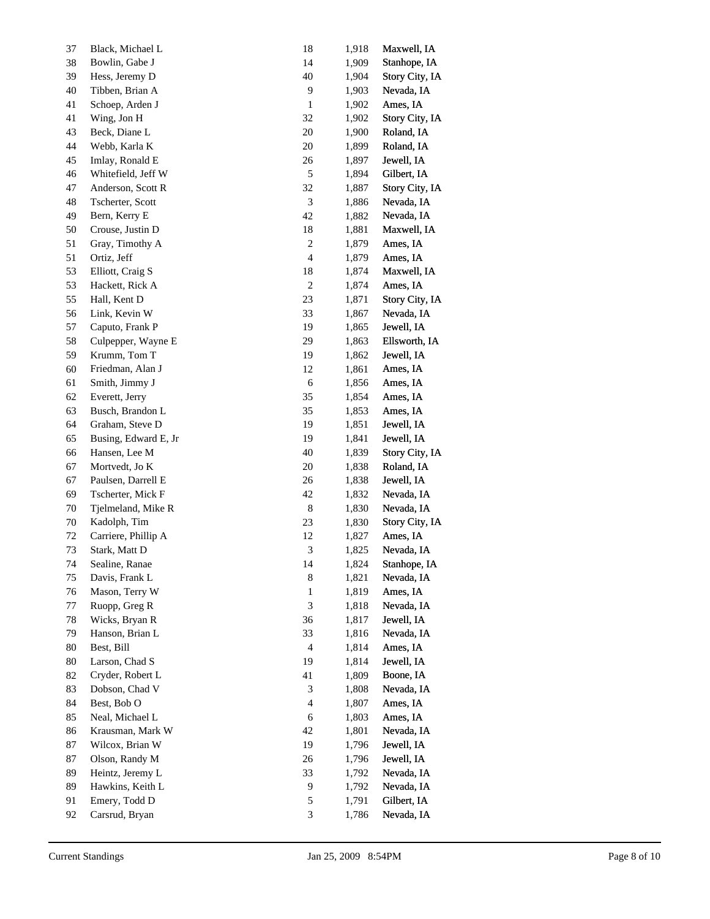| 37     | Black, Michael L     | 18             | 1,918 | Maxwell, IA    |
|--------|----------------------|----------------|-------|----------------|
| $38\,$ | Bowlin, Gabe J       | 14             | 1,909 | Stanhope, IA   |
| 39     | Hess, Jeremy D       | 40             | 1,904 | Story City, IA |
| 40     | Tibben, Brian A      | $\mathbf{9}$   | 1,903 | Nevada, IA     |
| 41     | Schoep, Arden J      | $\mathbf{1}$   | 1,902 | Ames, IA       |
| 41     | Wing, Jon H          | 32             | 1,902 | Story City, IA |
| 43     | Beck, Diane L        | $20\,$         | 1,900 | Roland, IA     |
| 44     | Webb, Karla K        | 20             | 1,899 | Roland, IA     |
| 45     | Imlay, Ronald E      | 26             | 1,897 | Jewell, IA     |
| 46     | Whitefield, Jeff W   | $\mathfrak s$  | 1,894 | Gilbert, IA    |
| 47     | Anderson, Scott R    | 32             | 1,887 | Story City, IA |
| 48     | Tscherter, Scott     | $\mathfrak{Z}$ | 1,886 | Nevada, IA     |
| 49     | Bern, Kerry E        | 42             | 1,882 | Nevada, IA     |
| 50     | Crouse, Justin D     | 18             | 1,881 | Maxwell, IA    |
| 51     | Gray, Timothy A      | $\sqrt{2}$     | 1,879 | Ames, IA       |
| 51     | Ortiz, Jeff          | 4              | 1,879 | Ames, IA       |
| 53     | Elliott, Craig S     | 18             | 1,874 | Maxwell, IA    |
| 53     | Hackett, Rick A      | $\sqrt{2}$     | 1,874 | Ames, IA       |
| 55     | Hall, Kent D         | 23             | 1,871 | Story City, IA |
| 56     | Link, Kevin W        | 33             | 1,867 | Nevada, IA     |
| 57     | Caputo, Frank P      | 19             | 1,865 | Jewell, IA     |
| 58     | Culpepper, Wayne E   | 29             | 1,863 | Ellsworth, IA  |
| 59     | Krumm, Tom T         | 19             | 1,862 | Jewell, IA     |
| 60     | Friedman, Alan J     | 12             | 1,861 | Ames, IA       |
| 61     | Smith, Jimmy J       | $\sqrt{6}$     | 1,856 | Ames, IA       |
| 62     | Everett, Jerry       | 35             | 1,854 | Ames, IA       |
| 63     | Busch, Brandon L     | 35             | 1,853 | Ames, IA       |
| 64     | Graham, Steve D      | 19             | 1,851 | Jewell, IA     |
| 65     | Busing, Edward E, Jr | 19             | 1,841 | Jewell, IA     |
| 66     | Hansen, Lee M        | 40             | 1,839 | Story City, IA |
| 67     | Mortvedt, Jo K       | 20             | 1,838 | Roland, IA     |
| 67     | Paulsen, Darrell E   | 26             | 1,838 | Jewell, IA     |
| 69     | Tscherter, Mick F    | 42             | 1,832 | Nevada, IA     |
| 70     | Tjelmeland, Mike R   | $8\,$          | 1,830 | Nevada, IA     |
| 70     | Kadolph, Tim         | 23             | 1,830 | Story City, IA |
| 72     | Carriere, Phillip A  | 12             | 1,827 | Ames, IA       |
| 73     | Stark, Matt D        | 3              | 1,825 | Nevada, IA     |
| 74     | Sealine, Ranae       | 14             | 1,824 | Stanhope, IA   |
| 75     | Davis, Frank L       | 8              | 1,821 | Nevada, IA     |
| 76     | Mason, Terry W       | $\mathbf{1}$   | 1,819 | Ames, IA       |
| 77     | Ruopp, Greg R        | 3              | 1,818 | Nevada, IA     |
| 78     | Wicks, Bryan R       | 36             | 1,817 | Jewell, IA     |
| 79     | Hanson, Brian L      | 33             | 1,816 | Nevada, IA     |
| 80     | Best, Bill           | $\overline{4}$ | 1,814 | Ames, IA       |
| 80     | Larson, Chad S       | 19             | 1,814 | Jewell, IA     |
| 82     | Cryder, Robert L     | 41             | 1,809 | Boone, IA      |
| 83     | Dobson, Chad V       | 3              | 1,808 | Nevada, IA     |
| 84     | Best, Bob O          | 4              | 1,807 | Ames, IA       |
| 85     | Neal, Michael L      | 6              | 1,803 | Ames, IA       |
| 86     | Krausman, Mark W     | 42             | 1,801 | Nevada, IA     |
| 87     | Wilcox, Brian W      | 19             | 1,796 | Jewell, IA     |
| 87     | Olson, Randy M       | 26             | 1,796 | Jewell, IA     |
| 89     | Heintz, Jeremy L     | 33             | 1,792 | Nevada, IA     |
| 89     | Hawkins, Keith L     | 9              | 1,792 | Nevada, IA     |
| 91     | Emery, Todd D        | 5              | 1,791 | Gilbert, IA    |
| 92     | Carsrud, Bryan       | 3              | 1,786 | Nevada, IA     |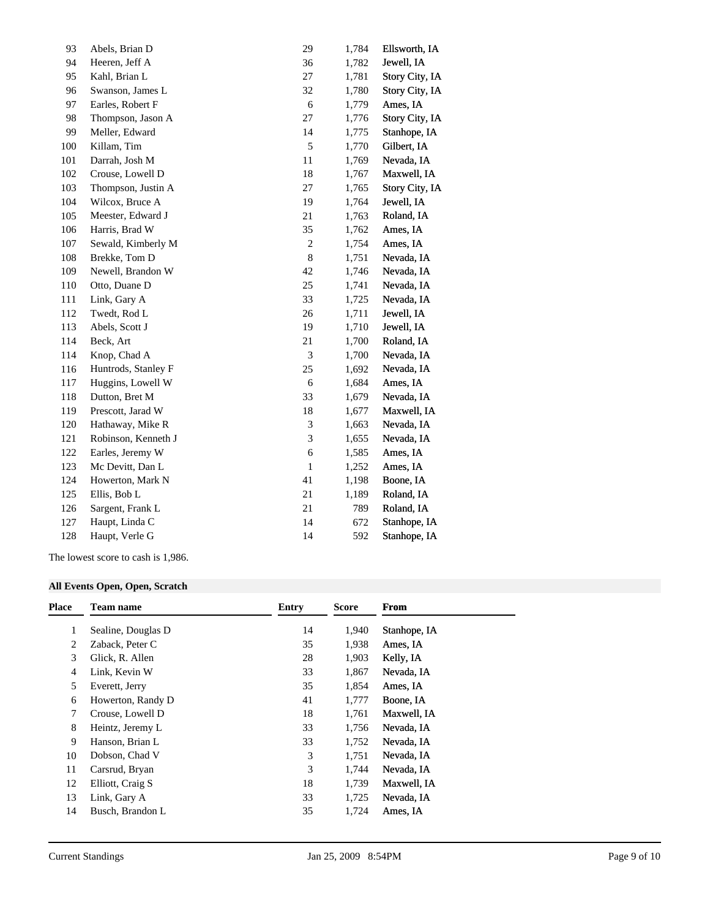| 93  | Abels, Brian D      | 29                          | 1,784 | Ellsworth, IA  |
|-----|---------------------|-----------------------------|-------|----------------|
| 94  | Heeren, Jeff A      | 36                          | 1,782 | Jewell, IA     |
| 95  | Kahl, Brian L       | $27\,$                      | 1,781 | Story City, IA |
| 96  | Swanson, James L    | 32                          | 1,780 | Story City, IA |
| 97  | Earles, Robert F    | $\sqrt{6}$                  | 1,779 | Ames, IA       |
| 98  | Thompson, Jason A   | 27                          | 1,776 | Story City, IA |
| 99  | Meller, Edward      | 14                          | 1,775 | Stanhope, IA   |
| 100 | Killam, Tim         | $\sqrt{5}$                  | 1,770 | Gilbert, IA    |
| 101 | Darrah, Josh M      | 11                          | 1,769 | Nevada, IA     |
| 102 | Crouse, Lowell D    | 18                          | 1,767 | Maxwell, IA    |
| 103 | Thompson, Justin A  | $27\,$                      | 1,765 | Story City, IA |
| 104 | Wilcox, Bruce A     | 19                          | 1,764 | Jewell, IA     |
| 105 | Meester, Edward J   | $21\,$                      | 1,763 | Roland, IA     |
| 106 | Harris, Brad W      | 35                          | 1,762 | Ames, IA       |
| 107 | Sewald, Kimberly M  | $\sqrt{2}$                  | 1,754 | Ames, IA       |
| 108 | Brekke, Tom D       | $\,$ 8 $\,$                 | 1,751 | Nevada, IA     |
| 109 | Newell, Brandon W   | 42                          | 1,746 | Nevada, IA     |
| 110 | Otto, Duane D       | 25                          | 1,741 | Nevada, IA     |
| 111 | Link, Gary A        | 33                          | 1,725 | Nevada, IA     |
| 112 | Twedt, Rod L        | 26                          | 1,711 | Jewell, IA     |
| 113 | Abels, Scott J      | 19                          | 1,710 | Jewell, IA     |
| 114 | Beck, Art           | $21\,$                      | 1,700 | Roland, IA     |
| 114 | Knop, Chad A        | $\ensuremath{\mathfrak{Z}}$ | 1,700 | Nevada, IA     |
| 116 | Huntrods, Stanley F | 25                          | 1,692 | Nevada, IA     |
| 117 | Huggins, Lowell W   | 6                           | 1,684 | Ames, IA       |
| 118 | Dutton, Bret M      | 33                          | 1,679 | Nevada, IA     |
| 119 | Prescott, Jarad W   | 18                          | 1,677 | Maxwell, IA    |
| 120 | Hathaway, Mike R    | $\ensuremath{\mathfrak{Z}}$ | 1,663 | Nevada, IA     |
| 121 | Robinson, Kenneth J | $\ensuremath{\mathfrak{Z}}$ | 1,655 | Nevada, IA     |
| 122 | Earles, Jeremy W    | $\sqrt{6}$                  | 1,585 | Ames, IA       |
| 123 | Mc Devitt, Dan L    | $\mathbf{1}$                | 1,252 | Ames, IA       |
| 124 | Howerton, Mark N    | 41                          | 1,198 | Boone, IA      |
| 125 | Ellis, Bob L        | $21\,$                      | 1,189 | Roland, IA     |
| 126 | Sargent, Frank L    | $21\,$                      | 789   | Roland, IA     |
| 127 | Haupt, Linda C      | 14                          | 672   | Stanhope, IA   |
| 128 | Haupt, Verle G      | 14                          | 592   | Stanhope, IA   |
|     |                     |                             |       |                |

The lowest score to cash is 1,986.

### **All Events Open, Open, Scratch**

| Place | Team name          | <b>Entry</b> | Score | From         |
|-------|--------------------|--------------|-------|--------------|
| 1     | Sealine, Douglas D | 14           | 1,940 | Stanhope, IA |
| 2     | Zaback, Peter C    | 35           | 1,938 | Ames, IA     |
| 3     | Glick, R. Allen    | 28           | 1,903 | Kelly, IA    |
| 4     | Link, Kevin W      | 33           | 1,867 | Nevada, IA   |
| 5     | Everett, Jerry     | 35           | 1,854 | Ames, IA     |
| 6     | Howerton, Randy D  | 41           | 1,777 | Boone, IA    |
| 7     | Crouse, Lowell D   | 18           | 1,761 | Maxwell, IA  |
| 8     | Heintz, Jeremy L   | 33           | 1,756 | Nevada, IA   |
| 9     | Hanson, Brian L    | 33           | 1,752 | Nevada, IA   |
| 10    | Dobson, Chad V     | 3            | 1,751 | Nevada, IA   |
| 11    | Carsrud, Bryan     | 3            | 1.744 | Nevada, IA   |
| 12    | Elliott, Craig S   | 18           | 1,739 | Maxwell, IA  |
| 13    | Link, Gary A       | 33           | 1,725 | Nevada, IA   |
| 14    | Busch, Brandon L   | 35           | 1,724 | Ames, IA     |